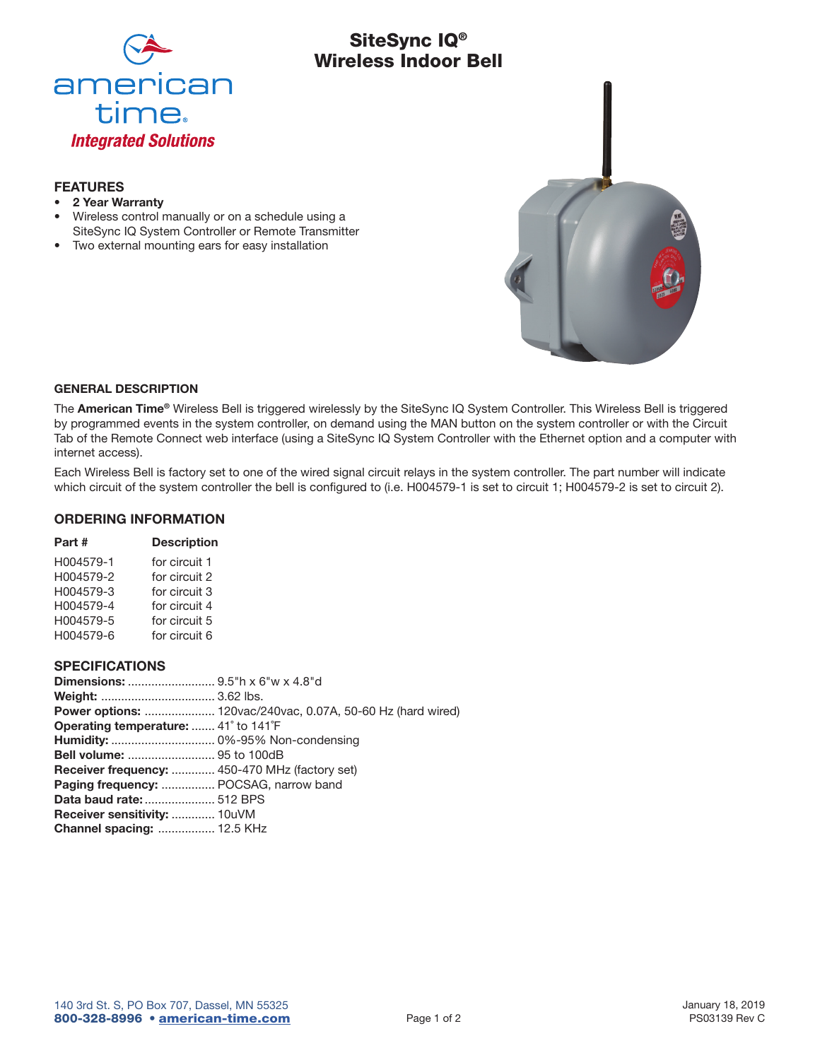

# SiteSync IQ® Wireless Indoor Bell

# FEATURES

- 2 Year Warranty
- Wireless control manually or on a schedule using a SiteSync IQ System Controller or Remote Transmitter
- Two external mounting ears for easy installation



#### GENERAL DESCRIPTION

The American Time® Wireless Bell is triggered wirelessly by the SiteSync IQ System Controller. This Wireless Bell is triggered by programmed events in the system controller, on demand using the MAN button on the system controller or with the Circuit Tab of the Remote Connect web interface (using a SiteSync IQ System Controller with the Ethernet option and a computer with internet access).

Each Wireless Bell is factory set to one of the wired signal circuit relays in the system controller. The part number will indicate which circuit of the system controller the bell is configured to (i.e. H004579-1 is set to circuit 1; H004579-2 is set to circuit 2).

### ORDERING INFORMATION

| Part #    | <b>Description</b> |
|-----------|--------------------|
| H004579-1 | for circuit 1      |
| H004579-2 | for circuit 2      |
| H004579-3 | for circuit 3      |
| H004579-4 | for circuit 4      |
| H004579-5 | for circuit 5      |
| H004579-6 | for circuit 6      |

# SPECIFICATIONS

|                                                       | Power options:  120vac/240vac, 0.07A, 50-60 Hz (hard wired) |
|-------------------------------------------------------|-------------------------------------------------------------|
| <b>Operating temperature:</b> 41° to 141°F            |                                                             |
|                                                       |                                                             |
| <b>Bell volume:</b> 95 to 100dB                       |                                                             |
| <b>Receiver frequency:  450-470 MHz (factory set)</b> |                                                             |
| Paging frequency:  POCSAG, narrow band                |                                                             |
| <b>Data baud rate:  512 BPS</b>                       |                                                             |
| <b>Receiver sensitivity:  10uVM</b>                   |                                                             |
| <b>Channel spacing:  12.5 KHz</b>                     |                                                             |